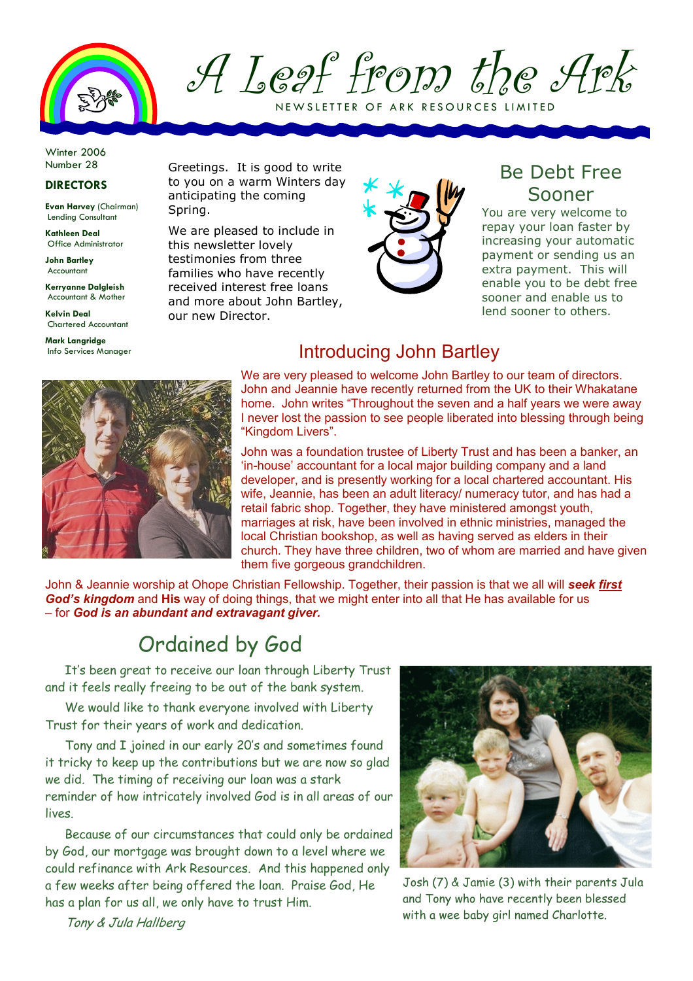

A Leaf from the Ark NEW SLETTER OF ARK RESOURCES LIMITED

Winter 2006 Number 28

#### DIRECTORS

Evan Harvey (Chairman) Lending Consultant

Kathleen Deal Office Administrator

John Bartley Accountant

Kerryanne Dalgleish Accountant & Mother

Kelvin Deal Chartered Accountant

Mark Langridge Info Services Manager Greetings. It is good to write to you on a warm Winters day anticipating the coming Spring.

We are pleased to include in this newsletter lovely testimonies from three families who have recently received interest free loans and more about John Bartley, our new Director.



#### Be Debt Free Sooner

You are very welcome to repay your loan faster by increasing your automatic payment or sending us an extra payment. This will enable you to be debt free sooner and enable us to lend sooner to others.



## Introducing John Bartley

We are very pleased to welcome John Bartley to our team of directors. John and Jeannie have recently returned from the UK to their Whakatane home. John writes "Throughout the seven and a half years we were away I never lost the passion to see people liberated into blessing through being "Kingdom Livers".

John was a foundation trustee of Liberty Trust and has been a banker, an 'in-house' accountant for a local major building company and a land developer, and is presently working for a local chartered accountant. His wife, Jeannie, has been an adult literacy/ numeracy tutor, and has had a retail fabric shop. Together, they have ministered amongst youth, marriages at risk, have been involved in ethnic ministries, managed the local Christian bookshop, as well as having served as elders in their church. They have three children, two of whom are married and have given them five gorgeous grandchildren.

John & Jeannie worship at Ohope Christian Fellowship. Together, their passion is that we all will seek first God's kingdom and His way of doing things, that we might enter into all that He has available for us – for God is an abundant and extravagant giver.

# Ordained by God

It's been great to receive our loan through Liberty Trust and it feels really freeing to be out of the bank system.

We would like to thank everyone involved with Liberty Trust for their years of work and dedication.

Tony and I joined in our early 20's and sometimes found it tricky to keep up the contributions but we are now so glad we did. The timing of receiving our loan was a stark reminder of how intricately involved God is in all areas of our lives.

Because of our circumstances that could only be ordained by God, our mortgage was brought down to a level where we could refinance with Ark Resources. And this happened only a few weeks after being offered the loan. Praise God, He has a plan for us all, we only have to trust Him.



Josh (7) & Jamie (3) with their parents Jula and Tony who have recently been blessed with a wee baby girl named Charlotte.

Tony & Jula Hallberg